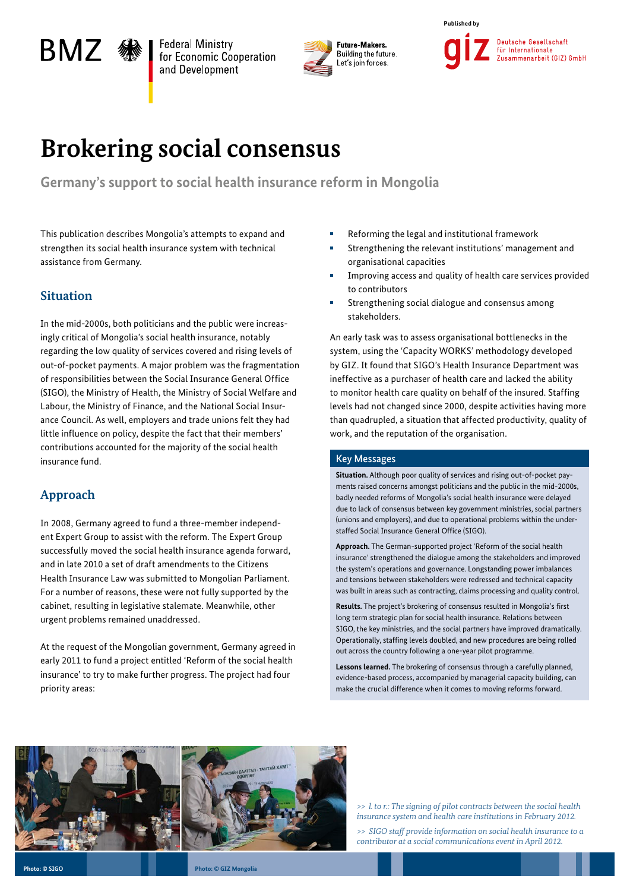# BMZ «

**Federal Ministry** for Economic Cooperation and Development



**Published by** Deutsche Gesellschaft für Internationale Zusammenarbeit (GIZ) GmbH

## **Brokering social consensus**

**Germany's support to social health insurance reform in Mongolia** 

This publication describes Mongolia's attempts to expand and strengthen its social health insurance system with technical assistance from Germany.

### **Situation**

In the mid-2000s, both politicians and the public were increasingly critical of Mongolia's social health insurance, notably regarding the low quality of services covered and rising levels of out-of-pocket payments. A major problem was the fragmentation of responsibilities between the Social Insurance General Office (SIGO), the Ministry of Health, the Ministry of Social Welfare and Labour, the Ministry of Finance, and the National Social Insurance Council. As well, employers and trade unions felt they had little influence on policy, despite the fact that their members' contributions accounted for the majority of the social health insurance fund.

### **Approach**

In 2008, Germany agreed to fund a three-member independent Expert Group to assist with the reform. The Expert Group successfully moved the social health insurance agenda forward, and in late 2010 a set of draft amendments to the Citizens Health Insurance Law was submitted to Mongolian Parliament. For a number of reasons, these were not fully supported by the cabinet, resulting in legislative stalemate. Meanwhile, other urgent problems remained unaddressed.

At the request of the Mongolian government, Germany agreed in early 2011 to fund a project entitled 'Reform of the social health insurance' to try to make further progress. The project had four priority areas:

- Reforming the legal and institutional framework
- Strengthening the relevant institutions' management and organisational capacities
- Improving access and quality of health care services provided to contributors
- Strengthening social dialogue and consensus among stakeholders.

An early task was to assess organisational bottlenecks in the system, using the 'Capacity WORKS' methodology developed by GIZ. It found that SIGO's Health Insurance Department was ineffective as a purchaser of health care and lacked the ability to monitor health care quality on behalf of the insured. Staffing levels had not changed since 2000, despite activities having more than quadrupled, a situation that affected productivity, quality of work, and the reputation of the organisation.

#### Key Messages

**Situation.** Although poor quality of services and rising out-of-pocket payments raised concerns amongst politicians and the public in the mid-2000s, badly needed reforms of Mongolia's social health insurance were delayed due to lack of consensus between key government ministries, social partners (unions and employers), and due to operational problems within the understaffed Social Insurance General Office (SIGO).

**Approach.** The German-supported project 'Reform of the social health insurance' strengthened the dialogue among the stakeholders and improved the system's operations and governance. Longstanding power imbalances and tensions between stakeholders were redressed and technical capacity was built in areas such as contracting, claims processing and quality control.

**Results.** The project's brokering of consensus resulted in Mongolia's first long term strategic plan for social health insurance. Relations between SIGO, the key ministries, and the social partners have improved dramatically. Operationally, staffing levels doubled, and new procedures are being rolled out across the country following a one-year pilot programme.

**Lessons learned.** The brokering of consensus through a carefully planned, evidence-based process, accompanied by managerial capacity building, can make the crucial difference when it comes to moving reforms forward.



*>> l. to r.: The signing of pilot contracts between the social health insurance system and health care institutions in February 2012.*

*>> SIGO staff provide information on social health insurance to a contributor at a social communications event in April 2012.*

**Photo: © SIGO**

**Photo: © GIZ Mongolia**